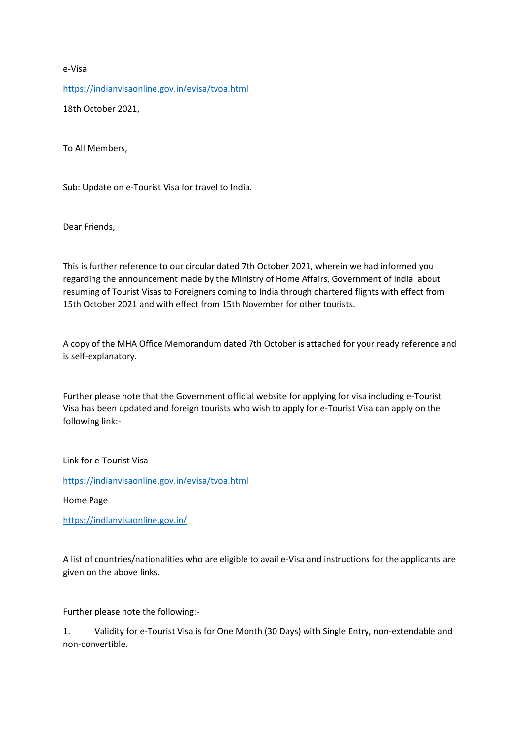e-Visa <https://indianvisaonline.gov.in/evisa/tvoa.html> 18th October 2021,

To All Members,

Sub: Update on e-Tourist Visa for travel to India.

Dear Friends,

This is further reference to our circular dated 7th October 2021, wherein we had informed you regarding the announcement made by the Ministry of Home Affairs, Government of India about resuming of Tourist Visas to Foreigners coming to India through chartered flights with effect from 15th October 2021 and with effect from 15th November for other tourists.

A copy of the MHA Office Memorandum dated 7th October is attached for your ready reference and is self-explanatory.

Further please note that the Government official website for applying for visa including e-Tourist Visa has been updated and foreign tourists who wish to apply for e-Tourist Visa can apply on the following link:-

Link for e-Tourist Visa

<https://indianvisaonline.gov.in/evisa/tvoa.html>

Home Page

<https://indianvisaonline.gov.in/>

A list of countries/nationalities who are eligible to avail e-Visa and instructions for the applicants are given on the above links.

Further please note the following:-

1. Validity for e-Tourist Visa is for One Month (30 Days) with Single Entry, non-extendable and non-convertible.